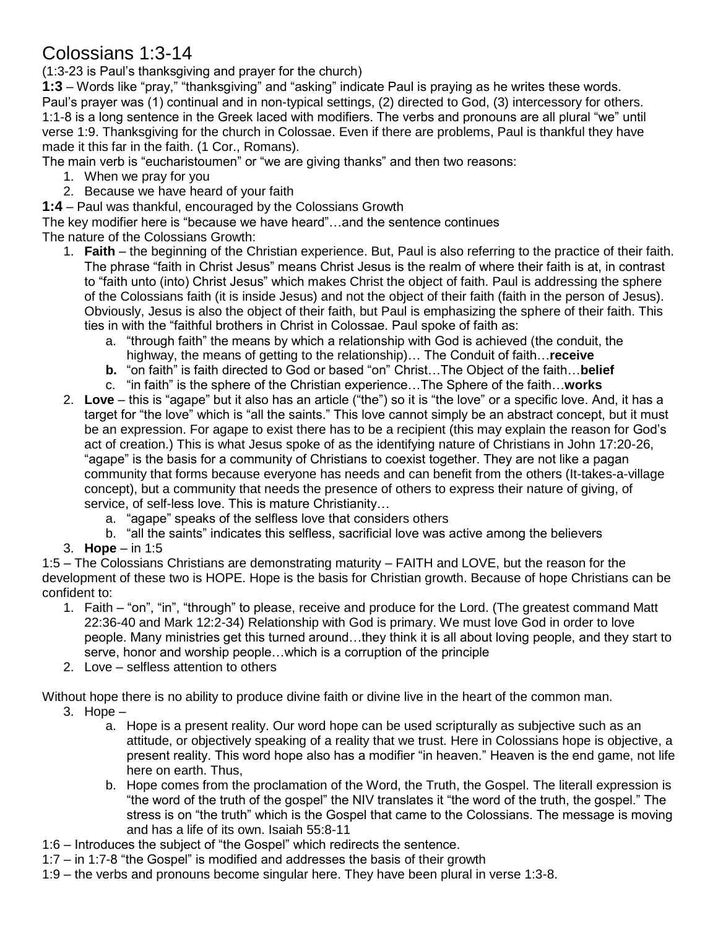## Colossians 1:3-14

(1:3-23 is Paul's thanksgiving and prayer for the church)

**1:3** – Words like "pray," "thanksgiving" and "asking" indicate Paul is praying as he writes these words. Paul's prayer was (1) continual and in non-typical settings, (2) directed to God, (3) intercessory for others. 1:1-8 is a long sentence in the Greek laced with modifiers. The verbs and pronouns are all plural "we" until verse 1:9. Thanksgiving for the church in Colossae. Even if there are problems, Paul is thankful they have made it this far in the faith. (1 Cor., Romans).

The main verb is "eucharistoumen" or "we are giving thanks" and then two reasons:

- 1. When we pray for you
- 2. Because we have heard of your faith

**1:4** – Paul was thankful, encouraged by the Colossians Growth

The key modifier here is "because we have heard"…and the sentence continues

The nature of the Colossians Growth:

- 1. **Faith** the beginning of the Christian experience. But, Paul is also referring to the practice of their faith. The phrase "faith in Christ Jesus" means Christ Jesus is the realm of where their faith is at, in contrast to "faith unto (into) Christ Jesus" which makes Christ the object of faith. Paul is addressing the sphere of the Colossians faith (it is inside Jesus) and not the object of their faith (faith in the person of Jesus). Obviously, Jesus is also the object of their faith, but Paul is emphasizing the sphere of their faith. This ties in with the "faithful brothers in Christ in Colossae. Paul spoke of faith as:
	- a. "through faith" the means by which a relationship with God is achieved (the conduit, the highway, the means of getting to the relationship)… The Conduit of faith…**receive**
	- **b.** "on faith" is faith directed to God or based "on" Christ…The Object of the faith…**belief**
	- c. "in faith" is the sphere of the Christian experience…The Sphere of the faith…**works**
- 2. **Love** this is "agape" but it also has an article ("the") so it is "the love" or a specific love. And, it has a target for "the love" which is "all the saints." This love cannot simply be an abstract concept, but it must be an expression. For agape to exist there has to be a recipient (this may explain the reason for God's act of creation.) This is what Jesus spoke of as the identifying nature of Christians in John 17:20-26, "agape" is the basis for a community of Christians to coexist together. They are not like a pagan community that forms because everyone has needs and can benefit from the others (It-takes-a-village concept), but a community that needs the presence of others to express their nature of giving, of service, of self-less love. This is mature Christianity…
	- a. "agape" speaks of the selfless love that considers others
	- b. "all the saints" indicates this selfless, sacrificial love was active among the believers
- 3. **Hope** in 1:5

1:5 – The Colossians Christians are demonstrating maturity – FAITH and LOVE, but the reason for the development of these two is HOPE. Hope is the basis for Christian growth. Because of hope Christians can be confident to:

- 1. Faith "on", "in", "through" to please, receive and produce for the Lord. (The greatest command Matt 22:36-40 and Mark 12:2-34) Relationship with God is primary. We must love God in order to love people. Many ministries get this turned around…they think it is all about loving people, and they start to serve, honor and worship people…which is a corruption of the principle
- 2. Love selfless attention to others

Without hope there is no ability to produce divine faith or divine live in the heart of the common man.

- 3. Hope  $$ 
	- a. Hope is a present reality. Our word hope can be used scripturally as subjective such as an attitude, or objectively speaking of a reality that we trust. Here in Colossians hope is objective, a present reality. This word hope also has a modifier "in heaven." Heaven is the end game, not life here on earth. Thus,
	- b. Hope comes from the proclamation of the Word, the Truth, the Gospel. The literall expression is "the word of the truth of the gospel" the NIV translates it "the word of the truth, the gospel." The stress is on "the truth" which is the Gospel that came to the Colossians. The message is moving and has a life of its own. Isaiah 55:8-11
- 1:6 Introduces the subject of "the Gospel" which redirects the sentence.
- 1:7 in 1:7-8 "the Gospel" is modified and addresses the basis of their growth
- 1:9 the verbs and pronouns become singular here. They have been plural in verse 1:3-8.